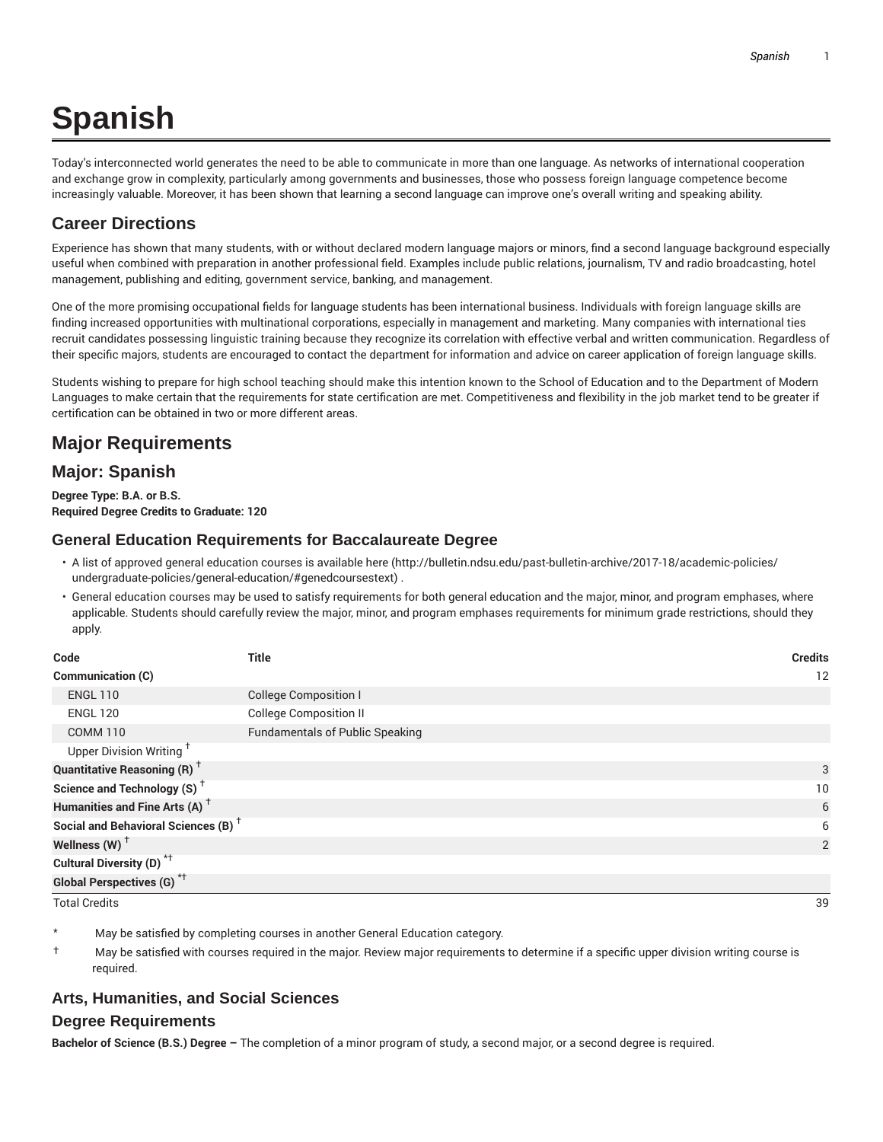# **Spanish**

Today's interconnected world generates the need to be able to communicate in more than one language. As networks of international cooperation and exchange grow in complexity, particularly among governments and businesses, those who possess foreign language competence become increasingly valuable. Moreover, it has been shown that learning a second language can improve one's overall writing and speaking ability.

## **Career Directions**

Experience has shown that many students, with or without declared modern language majors or minors, find a second language background especially useful when combined with preparation in another professional field. Examples include public relations, journalism, TV and radio broadcasting, hotel management, publishing and editing, government service, banking, and management.

One of the more promising occupational fields for language students has been international business. Individuals with foreign language skills are finding increased opportunities with multinational corporations, especially in management and marketing. Many companies with international ties recruit candidates possessing linguistic training because they recognize its correlation with effective verbal and written communication. Regardless of their specific majors, students are encouraged to contact the department for information and advice on career application of foreign language skills.

Students wishing to prepare for high school teaching should make this intention known to the School of Education and to the Department of Modern Languages to make certain that the requirements for state certification are met. Competitiveness and flexibility in the job market tend to be greater if certification can be obtained in two or more different areas.

# **Major Requirements**

## **Major: Spanish**

**Degree Type: B.A. or B.S. Required Degree Credits to Graduate: 120**

#### **General Education Requirements for Baccalaureate Degree**

- A list of approved general education courses is available here (http://bulletin.ndsu.edu/past-bulletin-archive/2017-18/academic-policies/ undergraduate-policies/general-education/#genedcoursestext) .
- General education courses may be used to satisfy requirements for both general education and the major, minor, and program emphases, where applicable. Students should carefully review the major, minor, and program emphases requirements for minimum grade restrictions, should they apply.

| Code                                            | Title                                  | <b>Credits</b> |
|-------------------------------------------------|----------------------------------------|----------------|
| <b>Communication (C)</b>                        |                                        | 12             |
| <b>ENGL 110</b>                                 | <b>College Composition I</b>           |                |
| <b>ENGL 120</b>                                 | <b>College Composition II</b>          |                |
| <b>COMM 110</b>                                 | <b>Fundamentals of Public Speaking</b> |                |
| Upper Division Writing <sup>†</sup>             |                                        |                |
| <b>Quantitative Reasoning (R)</b> <sup>†</sup>  |                                        | 3              |
| Science and Technology (S) <sup>+</sup>         |                                        | 10             |
| Humanities and Fine Arts (A) <sup>+</sup>       |                                        | 6              |
| Social and Behavioral Sciences (B) <sup>+</sup> |                                        | 6              |
| Wellness (W) $^{\dagger}$                       |                                        | 2              |
| Cultural Diversity (D) <sup>*†</sup>            |                                        |                |
| <b>Global Perspectives (G)</b> <sup>*†</sup>    |                                        |                |

Total Credits 39

May be satisfied by completing courses in another General Education category.

† May be satisfied with courses required in the major. Review major requirements to determine if a specific upper division writing course is required.

## **Arts, Humanities, and Social Sciences**

#### **Degree Requirements**

**Bachelor of Science (B.S.) Degree –** The completion of a minor program of study, a second major, or a second degree is required.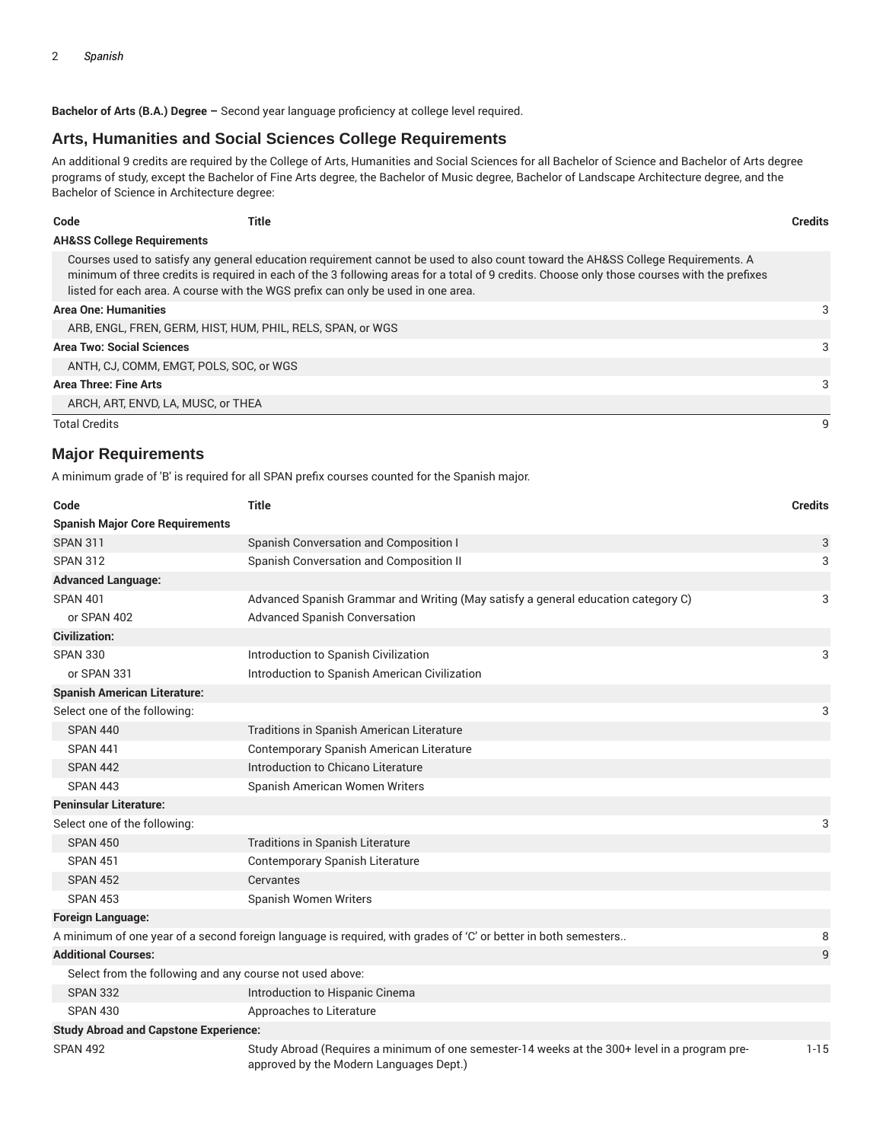**Bachelor of Arts (B.A.) Degree –** Second year language proficiency at college level required.

#### **Arts, Humanities and Social Sciences College Requirements**

An additional 9 credits are required by the College of Arts, Humanities and Social Sciences for all Bachelor of Science and Bachelor of Arts degree programs of study, except the Bachelor of Fine Arts degree, the Bachelor of Music degree, Bachelor of Landscape Architecture degree, and the Bachelor of Science in Architecture degree:

| Code                                  | Title                                                                            |                                                                                                                                                                                                                                                                                | <b>Credits</b> |
|---------------------------------------|----------------------------------------------------------------------------------|--------------------------------------------------------------------------------------------------------------------------------------------------------------------------------------------------------------------------------------------------------------------------------|----------------|
| <b>AH&amp;SS College Requirements</b> |                                                                                  |                                                                                                                                                                                                                                                                                |                |
|                                       | listed for each area. A course with the WGS prefix can only be used in one area. | Courses used to satisfy any general education requirement cannot be used to also count toward the AH&SS College Requirements. A<br>minimum of three credits is required in each of the 3 following areas for a total of 9 credits. Choose only those courses with the prefixes |                |
| <b>Area One: Humanities</b>           |                                                                                  |                                                                                                                                                                                                                                                                                | 3              |
|                                       | ARB, ENGL, FREN, GERM, HIST, HUM, PHIL, RELS, SPAN, or WGS                       |                                                                                                                                                                                                                                                                                |                |
| <b>Area Two: Social Sciences</b>      |                                                                                  |                                                                                                                                                                                                                                                                                | 3              |
|                                       | ANTH, CJ, COMM, EMGT, POLS, SOC, or WGS                                          |                                                                                                                                                                                                                                                                                |                |
| <b>Area Three: Fine Arts</b>          |                                                                                  |                                                                                                                                                                                                                                                                                | 3              |
|                                       | ARCH, ART, ENVD, LA, MUSC, or THEA                                               |                                                                                                                                                                                                                                                                                |                |
| <b>Total Credits</b>                  |                                                                                  |                                                                                                                                                                                                                                                                                |                |

#### **Major Requirements**

A minimum grade of 'B' is required for all SPAN prefix courses counted for the Spanish major.

| Code                                                     | <b>Title</b>                                                                                                                             | <b>Credits</b> |
|----------------------------------------------------------|------------------------------------------------------------------------------------------------------------------------------------------|----------------|
| <b>Spanish Major Core Requirements</b>                   |                                                                                                                                          |                |
| <b>SPAN 311</b>                                          | Spanish Conversation and Composition I                                                                                                   | 3              |
| <b>SPAN 312</b>                                          | Spanish Conversation and Composition II                                                                                                  | 3              |
| <b>Advanced Language:</b>                                |                                                                                                                                          |                |
| <b>SPAN 401</b>                                          | Advanced Spanish Grammar and Writing (May satisfy a general education category C)                                                        | 3              |
| or SPAN 402                                              | <b>Advanced Spanish Conversation</b>                                                                                                     |                |
| <b>Civilization:</b>                                     |                                                                                                                                          |                |
| <b>SPAN 330</b>                                          | Introduction to Spanish Civilization                                                                                                     | 3              |
| or SPAN 331                                              | Introduction to Spanish American Civilization                                                                                            |                |
| <b>Spanish American Literature:</b>                      |                                                                                                                                          |                |
| Select one of the following:                             |                                                                                                                                          | 3              |
| <b>SPAN 440</b>                                          | Traditions in Spanish American Literature                                                                                                |                |
| <b>SPAN 441</b>                                          | Contemporary Spanish American Literature                                                                                                 |                |
| <b>SPAN 442</b>                                          | Introduction to Chicano Literature                                                                                                       |                |
| <b>SPAN 443</b>                                          | Spanish American Women Writers                                                                                                           |                |
| <b>Peninsular Literature:</b>                            |                                                                                                                                          |                |
| Select one of the following:                             |                                                                                                                                          | 3              |
| <b>SPAN 450</b>                                          | <b>Traditions in Spanish Literature</b>                                                                                                  |                |
| <b>SPAN 451</b>                                          | Contemporary Spanish Literature                                                                                                          |                |
| <b>SPAN 452</b>                                          | Cervantes                                                                                                                                |                |
| <b>SPAN 453</b>                                          | Spanish Women Writers                                                                                                                    |                |
| <b>Foreign Language:</b>                                 |                                                                                                                                          |                |
|                                                          | A minimum of one year of a second foreign language is required, with grades of 'C' or better in both semesters                           | 8              |
| <b>Additional Courses:</b>                               |                                                                                                                                          | 9              |
| Select from the following and any course not used above: |                                                                                                                                          |                |
| <b>SPAN 332</b>                                          | Introduction to Hispanic Cinema                                                                                                          |                |
| <b>SPAN 430</b>                                          | Approaches to Literature                                                                                                                 |                |
| <b>Study Abroad and Capstone Experience:</b>             |                                                                                                                                          |                |
| <b>SPAN 492</b>                                          | Study Abroad (Requires a minimum of one semester-14 weeks at the 300+ level in a program pre-<br>approved by the Modern Languages Dept.) | $1 - 15$       |